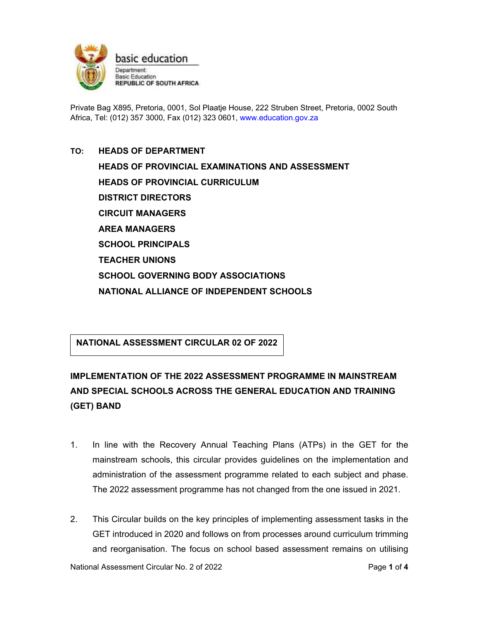

Private Bag X895, Pretoria, 0001, Sol Plaatje House, 222 Struben Street, Pretoria, 0002 South Africa, Tel: (012) 357 3000, Fax (012) 323 0601, www.education.gov.za

# **TO: HEADS OF DEPARTMENT HEADS OF PROVINCIAL EXAMINATIONS AND ASSESSMENT HEADS OF PROVINCIAL CURRICULUM DISTRICT DIRECTORS CIRCUIT MANAGERS AREA MANAGERS SCHOOL PRINCIPALS TEACHER UNIONS SCHOOL GOVERNING BODY ASSOCIATIONS NATIONAL ALLIANCE OF INDEPENDENT SCHOOLS**

### **NATIONAL ASSESSMENT CIRCULAR 02 OF 2022**

## **IMPLEMENTATION OF THE 2022 ASSESSMENT PROGRAMME IN MAINSTREAM AND SPECIAL SCHOOLS ACROSS THE GENERAL EDUCATION AND TRAINING (GET) BAND**

- 1. In line with the Recovery Annual Teaching Plans (ATPs) in the GET for the mainstream schools, this circular provides guidelines on the implementation and administration of the assessment programme related to each subject and phase. The 2022 assessment programme has not changed from the one issued in 2021.
- 2. This Circular builds on the key principles of implementing assessment tasks in the GET introduced in 2020 and follows on from processes around curriculum trimming and reorganisation. The focus on school based assessment remains on utilising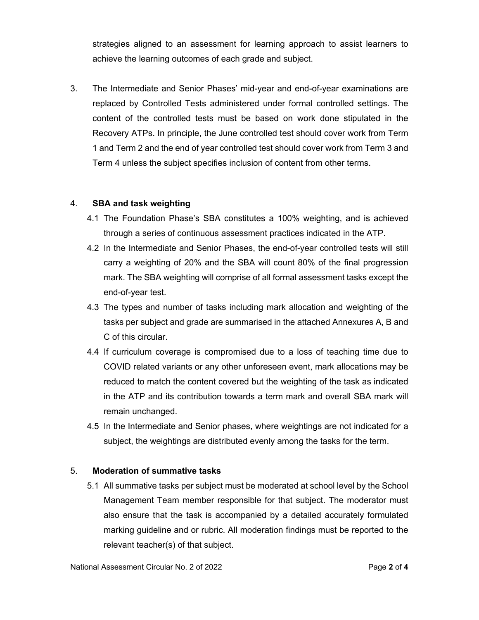strategies aligned to an assessment for learning approach to assist learners to achieve the learning outcomes of each grade and subject.

3. The Intermediate and Senior Phases' mid-year and end-of-year examinations are replaced by Controlled Tests administered under formal controlled settings. The content of the controlled tests must be based on work done stipulated in the Recovery ATPs. In principle, the June controlled test should cover work from Term 1 and Term 2 and the end of year controlled test should cover work from Term 3 and Term 4 unless the subject specifies inclusion of content from other terms.

#### 4. **SBA and task weighting**

- 4.1 The Foundation Phase's SBA constitutes a 100% weighting, and is achieved through a series of continuous assessment practices indicated in the ATP.
- 4.2 In the Intermediate and Senior Phases, the end-of-year controlled tests will still carry a weighting of 20% and the SBA will count 80% of the final progression mark. The SBA weighting will comprise of all formal assessment tasks except the end-of-year test.
- 4.3 The types and number of tasks including mark allocation and weighting of the tasks per subject and grade are summarised in the attached Annexures A, B and C of this circular.
- 4.4 If curriculum coverage is compromised due to a loss of teaching time due to COVID related variants or any other unforeseen event, mark allocations may be reduced to match the content covered but the weighting of the task as indicated in the ATP and its contribution towards a term mark and overall SBA mark will remain unchanged.
- 4.5 In the Intermediate and Senior phases, where weightings are not indicated for a subject, the weightings are distributed evenly among the tasks for the term.

#### 5. **Moderation of summative tasks**

5.1 All summative tasks per subject must be moderated at school level by the School Management Team member responsible for that subject. The moderator must also ensure that the task is accompanied by a detailed accurately formulated marking guideline and or rubric. All moderation findings must be reported to the relevant teacher(s) of that subject.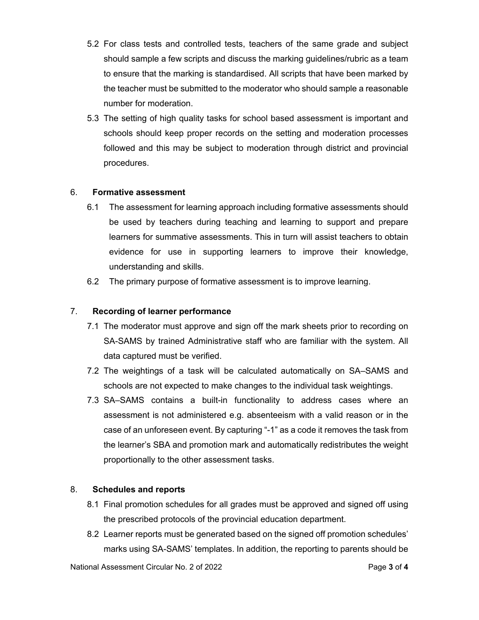- 5.2 For class tests and controlled tests, teachers of the same grade and subject should sample a few scripts and discuss the marking guidelines/rubric as a team to ensure that the marking is standardised. All scripts that have been marked by the teacher must be submitted to the moderator who should sample a reasonable number for moderation.
- 5.3 The setting of high quality tasks for school based assessment is important and schools should keep proper records on the setting and moderation processes followed and this may be subject to moderation through district and provincial procedures.

#### 6. **Formative assessment**

- 6.1 The assessment for learning approach including formative assessments should be used by teachers during teaching and learning to support and prepare learners for summative assessments. This in turn will assist teachers to obtain evidence for use in supporting learners to improve their knowledge, understanding and skills.
- 6.2 The primary purpose of formative assessment is to improve learning.

#### 7. **Recording of learner performance**

- 7.1 The moderator must approve and sign off the mark sheets prior to recording on SA-SAMS by trained Administrative staff who are familiar with the system. All data captured must be verified.
- 7.2 The weightings of a task will be calculated automatically on SA–SAMS and schools are not expected to make changes to the individual task weightings.
- 7.3 SA–SAMS contains a built-in functionality to address cases where an assessment is not administered e.g. absenteeism with a valid reason or in the case of an unforeseen event. By capturing "-1" as a code it removes the task from the learner's SBA and promotion mark and automatically redistributes the weight proportionally to the other assessment tasks.

#### 8. **Schedules and reports**

- 8.1 Final promotion schedules for all grades must be approved and signed off using the prescribed protocols of the provincial education department.
- 8.2 Learner reports must be generated based on the signed off promotion schedules' marks using SA-SAMS' templates. In addition, the reporting to parents should be